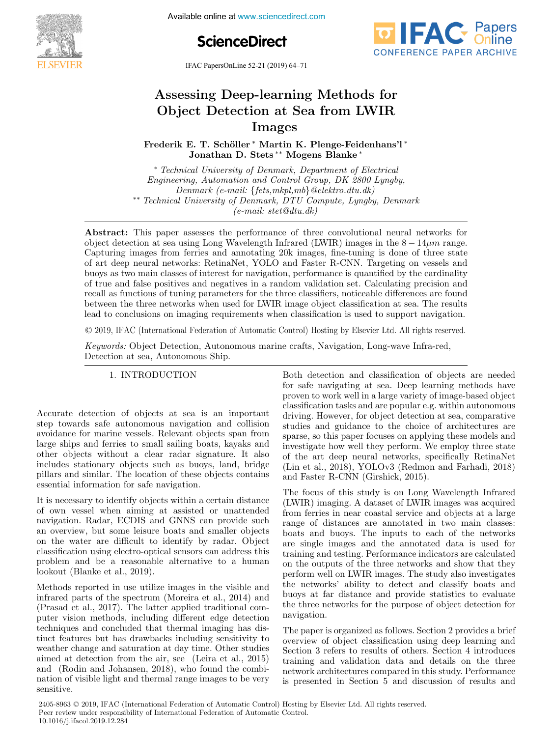

Available online at www.sciencedirect.com

**ScienceDirect**



IFAC PapersOnLine 52-21 (2019) 64–71

#### Assessing Deep-learning Methods for Assessing Deep-learning Methods for ion at s<br>-Assessing Deep-learning Methods for Object Detection at Sea from LWIR non av s<br>Images  $\mathbf{F}$   $\mathbf{F}$   $\mathbf{F}$   $\mathbf{F}$   $\mathbf{F}$   $\mathbf{F}$   $\mathbf{F}$   $\mathbf{F}$   $\mathbf{F}$   $\mathbf{F}$   $\mathbf{F}$   $\mathbf{F}$   $\mathbf{F}$   $\mathbf{F}$   $\mathbf{F}$   $\mathbf{F}$   $\mathbf{F}$   $\mathbf{F}$   $\mathbf{F}$   $\mathbf{F}$   $\mathbf{F}$   $\mathbf{F}$   $\mathbf{F}$   $\mathbf{F}$   $\mathbf{$ Assessing Deep-learning Methods for

Frederik E. T. Schöller<sup>\*</sup> Martin K. Plenge-Feidenhans'l<sup>\*</sup> Frederik E. T. Schöner ∆Martin K. Plenge-Feidenhans'l ∗<br>Jonathan D. Stets \*\* Mogens Blanke \*

∗ Technical University of Denmark, Department of Electrical Engineering, Automation and Control Group, DK 2800 Lyngby, \* Technical University of Denmark, Department of Electrical<br>Engineering, Automation and Control Group, DK 2800 Lyngby,<br>Denmark (e-mail: {fets,mkpl,mb}@elektro.dtu.dk)<br>\*\* Technical University of Denmark, DTU Compute, Lyngb (e-mail: stet@dtu.dk) (e-mail: stet@dtu.dk) Denmark (e-mail: {fets,mkpl,mb} @elektro.dtu.dk)<br><sup>\*\*</sup> Technical University of Denmark DTU Compute Lyngby Denmark (e-mail: stet@dtu.dk)

 $\Delta$ Bistract. This paper assesses the performance of three convolutional field fletworks for<br>object detection at sea using Long Wavelength Infrared (LWIR) images in the  $8-14\mu m$  range. Capturing images from ferries and annotating 20k images, fine-tuning is done of three state Capturing mages from ferries and amodating 20th mages, fine-tuning is done of time state<br>of art deep neural networks: RetinaNet, YOLO and Faster R-CNN. Targeting on vessels and buoys as two main classes of interest for navigation, performance is quantified by the cardinality buoys as two main classes of interest for havigation, performance is quantified by the cardinarity<br>of true and false positives and negatives in a random validation set. Calculating precision and or true and raise positives and negatives in a random vandation set. Calculating precision and<br>recall as functions of tuning parameters for the three classifiers, noticeable differences are found becan as functions of tuning parameters for the time classifies, noticeable unterences are found<br>between the three networks when used for LWIR image object classification at sea. The results between the three networks when used for LWIR image object classification at sea. The results in  $\frac{1}{2}$ lead to conclusions on imaging requirements when classification is used to support navigation. Abstract: This paper assesses the performance of three convolutional neural networks for chief detection of see minu Lang Weselanth Informal (LWID) income in the  $\theta$  - 14 we are not buoys as two main classes of interest for navigation, performance is quantified by the cardinality<br>of true and false positives and negatives in a random validation set. Calculating precision and<br>recall as functions of tun (e-mail: stetchware die stetchware die stetchware die stetchware die stetchware die stetchware die stetchware<br>Die stetchware die stetchware die stetchware die stetchware die stetchware die stetchware die stetchware die s between the three networks when used for LWIR image object classification at sea. The results

 $\approx$  0010 UNC (Lead to  $\sim$  1 U in classification in  $\sim$  0 in the support navigation is used to support navigation. Keywords: Object Detection, Autonomous marine crafts, Navigation, Long-wave Infra-red, between the three networks when used for  $\sigma_{\text{max}}$  image object classification at sea. The results when  $\sigma_{\text{max}}$ © 2019, IFAC (International Federation of Automatic Control) Hosting by Elsevier Ltd. All rights reserved.

*Keywords:* Object Detection, Autonomous marine crafts, Navigation, Long-wave Infra-red,<br>Detection at sea, Autonomous Ship.<br>1. INTRODUCTION Both detection and classification of obj Detection at sea, Autonomous Ship. Detection at sea, Autonomous Ship. Detection at sea, Autonomous Ship. Keywords: Object Detection, Autonomous marine crafts, Navigation, Long-wave Infra-red, Detection at sea, Autonomous Ship.

#### 1. INTRODUCTION 1. INTRODUCTION 1. INTRODUCTION 1. INTRODUCTION

Accurate detection of objects at sea is an important Accurate detection of objects at sea is an important step towards safe autonomous navigation and collision Accurate detection of objects at sea is an important step towards safe autonomous navigation and collision according to the according to the search of the search of the search of the search of the search of the search of the search of the search of the search of the search of the search of the search of the search of the search avoidance for marine vessels. Refevant objects span from other objects without a clear radar signature. It also includes stationary objects such as buoys, land, bridge pillars and similar. The location of these objects contains pinars and similar. The location of these objects contains essential information for safe navigation. essential information for safe navigation. essential information for safe navigation. step towards safe autonomous navigation and collision<br>step towards safe autonomous navigation and collision<br>avoidance for marine vessels. Relevant objects span from<br>large ships and ferries to small sailing boats, kayaks an essential information for safe navigation.

It is necessary to identify objects within a certain distance It is necessary to identify objects within a certain distance of own vessel when aiming at assisted or unattended navigation. Radar, ECDIS and GNNS can provide such<br>an overview, but some leisure boats and smaller objects an overview, but some leisure boats and smaller objects navigation. Radar, ECDIS and GNNS can provide such an overview, but some leisure boats and smaller objects navigation. Radar, ECDIS and GNNS can provide such on the water are difficult to identify by radar. Object an overview, but some leisure boats and smaller objects on the water are difficult to identify by radar. Object an overview, but some leisure boats and smaller objects classification using electro-optical sensors can address this problem and be a reasonable alternative to a human classification using electro-optical sensors can address this lookout (Blanke et al., 2019). lookout (Blanke et al., 2019). problem and be a reasonable alternative to a human erassification and be a reasonable alternative to a human<br>problem and be a reasonable alternative to a human problem and be a reasonable alternative to a human<br>lookout (Blanke et al., 2019). essential information for safe navigation.<br>It is necessary to identify objects within a certain distance<br>of own vessel when aiming at assisted or unattended<br>navigation. Radar, ECDIS and GNNS can provide such<br>an overview, b It is necessary to identify objects within

Methods reported in use utilize images in the visible and infrared parts of the spectrum (Moreira et al., 2014) and (Prasad et al., 2017). The latter applied traditional computer vision methods, including different edge detection puter vision methods, including unterest edge detection techniques and concluded that thermal miaging has unstituted features but has drawbacks including sensitivity to enter learnes but has drawbacks including sensitivity to<br>weather change and saturation at day time. Other studies aimed at detection from the air, see (Leira et al., 2015) aimed at detection from the air, see (Leira et al., 2015)<br>and (Rodin and Johansen, 2018), who found the combiand (nouth and Johansen, 2018), who found the combi-<br>nation of visible light and thermal range images to be very sensitive. sensitive. nation of visible light and thermal range images to be very and (Rodin and Johansen, 2018), who found the combi-<br>nation of visible light and thermal range images to be very sensitive. sensitive. aimed at detection from the air, see (Leira et al., 2015)<br>and (Rodin and Johansen, 2018), who found the combi-<br>nation of wisible light and thermal range images to be written  $s$ ensitive. Both detection and classification of objects are needed Both detection and classification of objects are needed Both detection and classification of objects are needed for safe navigating at sea. Deep learning methods have proven to work well in a large variety of image-based object classification tasks and are popular e.g. within autonomous proven to work well in a large variety of image-based object driving. However, for object detection at sea, comparative diving. However, to object detection at sea, comparative<br>studies and guidance to the choice of architectures are sparse, so this paper focuses on applying these models and sparse, so this paper locuses on applying these models and<br>investigate how well they perform. We employ three state investigate now went they perform. We employ time state<br>of the art deep neural networks, specifically RetinaNet of the art deep heural networks, specifically retinanced (Lin et al., 2018), YOLOv3 (Redmon and Farhadi, 2018) and Faster R-CNN (Girshick, 2015). and Faster R-CNN (Girshick, 2015). classification tasks and are popular e.g. within autonomous (Lin et al., 2010), TOLOV3 (Redmon and Farhadi, 2018) proven to work went in a large variety or mage based objects<br>classification tasks and are popular e.g. within autonomous<br>driving. However, for object detection at sea, comparative<br>studies and guidance to the choice of arch (Lin et al., 2018), YOLOv3 (Redmon and Farhadi, 2018) and Faster R-CNN (Girshick, 2015). (Lin et al., 2018), YOLOv3 (Redmon and Farhadi, 2018) (Lin et al., 2018), YOLOV3 (Redmon and Farhadi, 2018)<br>and Faster B CNN (Circhick, 2015)

The focus of this study is on Long Wavelength Infrared (LWIR) imaging. A dataset of LWIR images was acquired from ferries in near coastal service and objects at a large non ferries in hear coastal service and objects at a large<br>range of distances are annotated in two main classes: boats and buoys. The inputs to each of the networks boats and buoys. The inputs to each of the hetworks<br>are single images and the annotated data is used for training and testing. Performance indicators are calculated on the outputs of the three networks and show that they perform well on LWIR images. The study also investigates on the outputs of the three networks and show that they perform well on LWIR images. The study also investigates perform well on LWIR images. The study also investigates<br>the networks' ability to detect and classify boats and buoys at far distance and provide statistics to evaluate the three networks for the purpose of object detection for buoys at far distance and provide statistics to evaluate navigation. navigation. the three networks for the purpose of object detection for the three networks for the purpose of object detection for the three networks for the purpose of object detection for buoys at far distance and provide statistics to evaluate navigation. navigation. the three networks for the purpose of object detection for Assessing Deep-learning Methods for<br>
Object Detection at Sea from LWIR<br>
Object Detection at Sea from LWIR<br>
Images<br>
Nearly Townsis and the memberical field in the Home-Field<br>
Figure of the memberical control of the memberi Accurate detection of objects at son is an important to reach a<br>when the same parameter and the sequence of the specifical technical states and the poperator of objects at son important delivering. Unawers for object of a on the outputs of the three hetworks and show that they<br>perform well on LWIR images. The study also investigates<br>the networks' ability to detect and classify boats and<br>buoys at far distance and provide statistics to evalua

The paper is organized as follows. Section 2 provides a brief The paper is organized as follows. Section 2 provides a brief Section 3 refers to results of others. Section 4 introduces training and validation data and details on the three network architectures compared in this study. Performance<br>is presented in Section 5 and discussion of results and is presented in Section 5 and discussion of results and network architectures compared in this study. Performance is presented in Section 5 and discussion of results and is presented in Section 5 and discussion of results and is presented in Section  $\mathfrak b$  and discussion of results and

2405-8963 © 2019, IFAC (International Federation of Automatic Control) Hosting by Elsevier Ltd. All rights reserved. Peer review under responsibility of International Federation of Automatic Control. 10.1016/j.ifacol.2019.12.284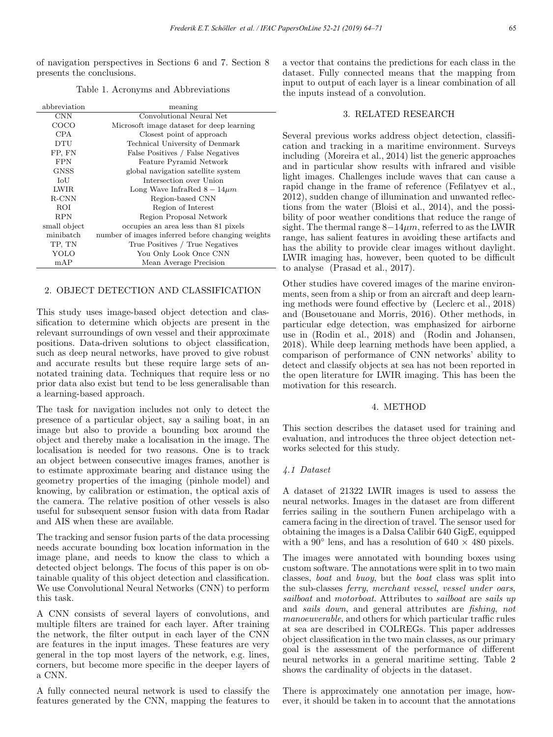of navigation perspectives in Sections 6 and 7. Section 8 presents the conclusions.

|  |  |  | Table 1. Acronyms and Abbreviations |
|--|--|--|-------------------------------------|
|--|--|--|-------------------------------------|

| abbreviation | meaning                                           |
|--------------|---------------------------------------------------|
| CNN          | Convolutional Neural Net                          |
| COCO         | Microsoft image dataset for deep learning         |
| CPA.         | Closest point of approach                         |
| <b>DTU</b>   | Technical University of Denmark                   |
| FP, FN       | False Positives / False Negatives                 |
| <b>FPN</b>   | Feature Pyramid Network                           |
| <b>GNSS</b>  | global navigation satellite system                |
| <b>I</b> oU  | Intersection over Union                           |
| <b>LWIR</b>  | Long Wave InfraRed $8-14\mu m$                    |
| <b>R-CNN</b> | Region-based CNN                                  |
| ROI.         | Region of Interest                                |
| RPN          | Region Proposal Network                           |
| small object | occupies an area less than 81 pixels              |
| minibatch    | number of images inferred before changing weights |
| TP, TN       | True Positives / True Negatives                   |
| YOLO         | You Only Look Once CNN                            |
| mAP          | Mean Average Precision                            |

#### 2. OBJECT DETECTION AND CLASSIFICATION

This study uses image-based object detection and classification to determine which objects are present in the relevant surroundings of own vessel and their approximate positions. Data-driven solutions to object classification, such as deep neural networks, have proved to give robust and accurate results but these require large sets of annotated training data. Techniques that require less or no prior data also exist but tend to be less generalisable than a learning-based approach.

The task for navigation includes not only to detect the presence of a particular object, say a sailing boat, in an image but also to provide a bounding box around the object and thereby make a localisation in the image. The localisation is needed for two reasons. One is to track an object between consecutive images frames, another is to estimate approximate bearing and distance using the geometry properties of the imaging (pinhole model) and knowing, by calibration or estimation, the optical axis of the camera. The relative position of other vessels is also useful for subsequent sensor fusion with data from Radar and AIS when these are available.

The tracking and sensor fusion parts of the data processing needs accurate bounding box location information in the image plane, and needs to know the class to which a detected object belongs. The focus of this paper is on obtainable quality of this object detection and classification. We use Convolutional Neural Networks (CNN) to perform this task.

A CNN consists of several layers of convolutions, and multiple filters are trained for each layer. After training the network, the filter output in each layer of the CNN are features in the input images. These features are very general in the top most layers of the network, e.g. lines, corners, but become more specific in the deeper layers of a CNN.

A fully connected neural network is used to classify the features generated by the CNN, mapping the features to a vector that contains the predictions for each class in the dataset. Fully connected means that the mapping from input to output of each layer is a linear combination of all the inputs instead of a convolution.

### 3. RELATED RESEARCH

Several previous works address object detection, classification and tracking in a maritime environment. Surveys including (Moreira et al., 2014) list the generic approaches and in particular show results with infrared and visible light images. Challenges include waves that can cause a rapid change in the frame of reference (Fefilatyev et al., 2012), sudden change of illumination and unwanted reflections from the water (Bloisi et al., 2014), and the possibility of poor weather conditions that reduce the range of sight. The thermal range  $8-14\mu m$ , referred to as the LWIR range, has salient features in avoiding these artifacts and has the ability to provide clear images without daylight. LWIR imaging has, however, been quoted to be difficult  $-$  to analyse (Prasad et al., 2017).

Other studies have covered images of the marine environments, seen from a ship or from an aircraft and deep learning methods were found effective by (Leclerc et al., 2018) and (Bousetouane and Morris, 2016). Other methods, in particular edge detection, was emphasized for airborne use in (Rodin et al., 2018) and (Rodin and Johansen, 2018). While deep learning methods have been applied, a comparison of performance of CNN networks' ability to detect and classify objects at sea has not been reported in the open literature for LWIR imaging. This has been the motivation for this research.

## 4. METHOD

This section describes the dataset used for training and evaluation, and introduces the three object detection networks selected for this study.

#### 4.1 Dataset

A dataset of 21322 LWIR images is used to assess the neural networks. Images in the dataset are from different ferries sailing in the southern Funen archipelago with a camera facing in the direction of travel. The sensor used for obtaining the images is a Dalsa Calibir 640 GigE, equipped with a 90 $\degree$  lens, and has a resolution of 640  $\times$  480 pixels.

The images were annotated with bounding boxes using custom software. The annotations were split in to two main classes, boat and buoy, but the boat class was split into the sub-classes ferry, merchant vessel, vessel under oars, sailboat and motorboat. Attributes to *sailboat* are *sails* up and sails down, and general attributes are fishing, not manoeuverable, and others for which particular traffic rules at sea are described in COLREGs. This paper addresses object classification in the two main classes, as our primary goal is the assessment of the performance of different neural networks in a general maritime setting. Table 2 shows the cardinality of objects in the dataset.

There is approximately one annotation per image, however, it should be taken in to account that the annotations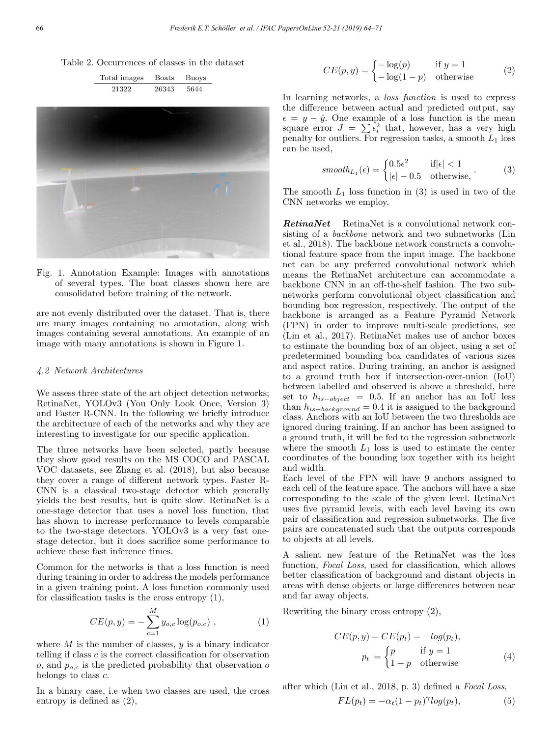Table 2. Occurrences of classes in the dataset

| Total images | Boats | Buoys |
|--------------|-------|-------|
| 21322        | 26343 | 5644  |



Fig. 1. Annotation Example: Images with annotations of several types. The boat classes shown here are consolidated before training of the network.

are not evenly distributed over the dataset. That is, there are many images containing no annotation, along with images containing several annotations. An example of an image with many annotations is shown in Figure 1.

# 4.2 Network Architectures

We assess three state of the art object detection networks; RetinaNet, YOLOv3 (You Only Look Once, Version 3) and Faster R-CNN. In the following we briefly introduce the architecture of each of the networks and why they are interesting to investigate for our specific application.

The three networks have been selected, partly because they show good results on the MS COCO and PASCAL VOC datasets, see Zhang et al. (2018), but also because they cover a range of different network types. Faster R-CNN is a classical two-stage detector which generally yields the best results, but is quite slow. RetinaNet is a one-stage detector that uses a novel loss function, that has shown to increase performance to levels comparable to the two-stage detectors. YOLOv3 is a very fast onestage detector, but it does sacrifice some performance to achieve these fast inference times.

Common for the networks is that a loss function is need during training in order to address the models performance in a given training point. A loss function commonly used for classification tasks is the cross entropy (1),

$$
CE(p, y) = -\sum_{c=1}^{M} y_{o,c} \log(p_{o,c}), \qquad (1)
$$

where  $M$  is the number of classes,  $y$  is a binary indicator telling if class c is the correct classification for observation  $o$ , and  $p_{o,c}$  is the predicted probability that observation  $o$ belongs to class c.

In a binary case, i.e when two classes are used, the cross entropy is defined as (2),

$$
CE(p, y) = \begin{cases} -\log(p) & \text{if } y = 1\\ -\log(1 - p) & \text{otherwise} \end{cases}
$$
 (2)

In learning networks, a *loss function* is used to express the difference between actual and predicted output, say  $\epsilon = y - \hat{y}$ . One example of a loss function is the mean square error  $J = \sum \epsilon_i^2$  that, however, has a very high penalty for outliers. For regression tasks, a smooth  $L_1$  loss can be used,

$$
smooth_{L_1}(\epsilon) = \begin{cases} 0.5\epsilon^2 & \text{if} |\epsilon| < 1\\ |\epsilon| - 0.5 & \text{otherwise,} \end{cases} (3)
$$

The smooth  $L_1$  loss function in (3) is used in two of the CNN networks we employ.

**RetinaNet** RetinaNet is a convolutional network consisting of a backbone network and two subnetworks (Lin et al., 2018). The backbone network constructs a convolutional feature space from the input image. The backbone net can be any preferred convolutional network which means the RetinaNet architecture can accommodate a backbone CNN in an off-the-shelf fashion. The two subnetworks perform convolutional object classification and bounding box regression, respectively. The output of the backbone is arranged as a Feature Pyramid Network (FPN) in order to improve multi-scale predictions, see (Lin et al., 2017). RetinaNet makes use of anchor boxes to estimate the bounding box of an object, using a set of predetermined bounding box candidates of various sizes and aspect ratios. During training, an anchor is assigned to a ground truth box if intersection-over-union (IoU) between labelled and observed is above a threshold, here set to  $h_{is-object} = 0.5$ . If an anchor has an IoU less than  $h_{is-background} = 0.4$  it is assigned to the background class. Anchors with an IoU between the two thresholds are ignored during training. If an anchor has been assigned to a ground truth, it will be fed to the regression subnetwork where the smooth  $L_1$  loss is used to estimate the center coordinates of the bounding box together with its height and width.

Each level of the FPN will have 9 anchors assigned to each cell of the feature space. The anchors will have a size corresponding to the scale of the given level. RetinaNet uses five pyramid levels, with each level having its own pair of classification and regression subnetworks. The five pairs are concatenated such that the outputs corresponds to objects at all levels.

A salient new feature of the RetinaNet was the loss function, Focal Loss, used for classification, which allows better classification of background and distant objects in areas with dense objects or large differences between near and far away objects.

Rewriting the binary cross entropy (2),

$$
CE(p, y) = CE(pt) = -log(pt),
$$

$$
pt = \begin{cases} p & \text{if } y = 1\\ 1 - p & \text{otherwise} \end{cases}
$$
(4)

after which (Lin et al., 2018, p. 3) defined a Focal Loss,

$$
FL(p_t) = -\alpha_t (1 - p_t)^\gamma \log(p_t),\tag{5}
$$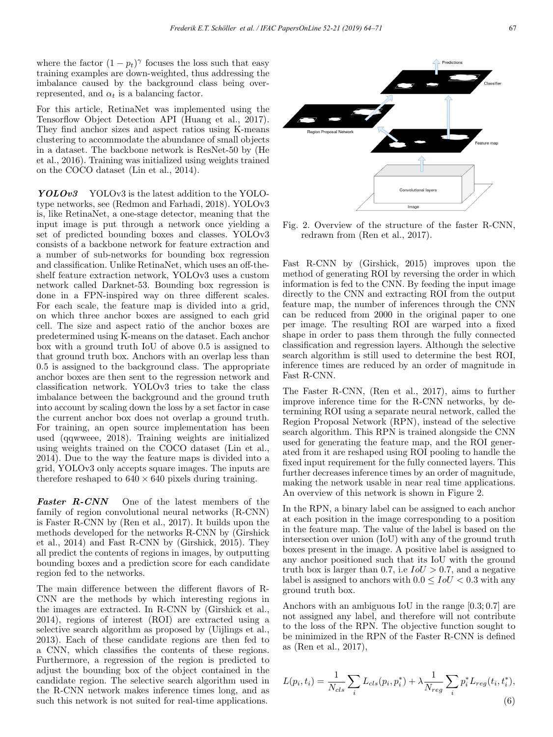where the factor  $(1 - p_t)^\gamma$  focuses the loss such that easy training examples are down-weighted, thus addressing the imbalance caused by the background class being overrepresented, and  $\alpha_t$  is a balancing factor.

For this article, RetinaNet was implemented using the Tensorflow Object Detection API (Huang et al., 2017). They find anchor sizes and aspect ratios using K-means clustering to accommodate the abundance of small objects in a dataset. The backbone network is ResNet-50 by (He et al., 2016). Training was initialized using weights trained on the COCO dataset (Lin et al., 2014).

YOLOv3 YOLOv3 is the latest addition to the YOLOtype networks, see (Redmon and Farhadi, 2018). YOLOv3 is, like RetinaNet, a one-stage detector, meaning that the input image is put through a network once yielding a set of predicted bounding boxes and classes. YOLOv3 consists of a backbone network for feature extraction and a number of sub-networks for bounding box regression and classification. Unlike RetinaNet, which uses an off-theshelf feature extraction network, YOLOv3 uses a custom network called Darknet-53. Bounding box regression is done in a FPN-inspired way on three different scales. For each scale, the feature map is divided into a grid, on which three anchor boxes are assigned to each grid cell. The size and aspect ratio of the anchor boxes are predetermined using K-means on the dataset. Each anchor box with a ground truth IoU of above 0.5 is assigned to that ground truth box. Anchors with an overlap less than 0.5 is assigned to the background class. The appropriate anchor boxes are then sent to the regression network and classification network. YOLOv3 tries to take the class imbalance between the background and the ground truth into account by scaling down the loss by a set factor in case the current anchor box does not overlap a ground truth. For training, an open source implementation has been used (qqwweee, 2018). Training weights are initialized using weights trained on the COCO dataset (Lin et al., 2014). Due to the way the feature maps is divided into a grid, YOLOv3 only accepts square images. The inputs are therefore reshaped to  $640 \times 640$  pixels during training.

Faster R-CNN One of the latest members of the family of region convolutional neural networks (R-CNN) is Faster R-CNN by (Ren et al., 2017). It builds upon the methods developed for the networks R-CNN by (Girshick et al., 2014) and Fast R-CNN by (Girshick, 2015). They all predict the contents of regions in images, by outputting bounding boxes and a prediction score for each candidate region fed to the networks.

The main difference between the different flavors of R-CNN are the methods by which interesting regions in the images are extracted. In R-CNN by (Girshick et al., 2014), regions of interest (ROI) are extracted using a selective search algorithm as proposed by (Uijlings et al., 2013). Each of these candidate regions are then fed to a CNN, which classifies the contents of these regions. Furthermore, a regression of the region is predicted to adjust the bounding box of the object contained in the candidate region. The selective search algorithm used in the R-CNN network makes inference times long, and as such this network is not suited for real-time applications.



Fig. 2. Overview of the structure of the faster R-CNN, redrawn from (Ren et al., 2017).

Fast R-CNN by (Girshick, 2015) improves upon the method of generating ROI by reversing the order in which information is fed to the CNN. By feeding the input image directly to the CNN and extracting ROI from the output feature map, the number of inferences through the CNN can be reduced from 2000 in the original paper to one per image. The resulting ROI are warped into a fixed shape in order to pass them through the fully connected classification and regression layers. Although the selective search algorithm is still used to determine the best ROI, inference times are reduced by an order of magnitude in Fast R-CNN.

The Faster R-CNN, (Ren et al., 2017), aims to further improve inference time for the R-CNN networks, by determining ROI using a separate neural network, called the Region Proposal Network (RPN), instead of the selective search algorithm. This RPN is trained alongside the CNN used for generating the feature map, and the ROI generated from it are reshaped using ROI pooling to handle the fixed input requirement for the fully connected layers. This further decreases inference times by an order of magnitude, making the network usable in near real time applications. An overview of this network is shown in Figure 2.

In the RPN, a binary label can be assigned to each anchor at each position in the image corresponding to a position in the feature map. The value of the label is based on the intersection over union (IoU) with any of the ground truth boxes present in the image. A positive label is assigned to any anchor positioned such that its IoU with the ground truth box is larger than 0.7, i.e  $IoU > 0.7$ , and a negative label is assigned to anchors with  $0.0 \leq I_0 U < 0.3$  with any ground truth box.

Anchors with an ambiguous IoU in the range [0.3; 0.7] are not assigned any label, and therefore will not contribute to the loss of the RPN. The objective function sought to be minimized in the RPN of the Faster R-CNN is defined as (Ren et al., 2017),

$$
L(p_i, t_i) = \frac{1}{N_{cls}} \sum_{i} L_{cls}(p_i, p_i^*) + \lambda \frac{1}{N_{reg}} \sum_{i} p_i^* L_{reg}(t_i, t_i^*),
$$
\n(6)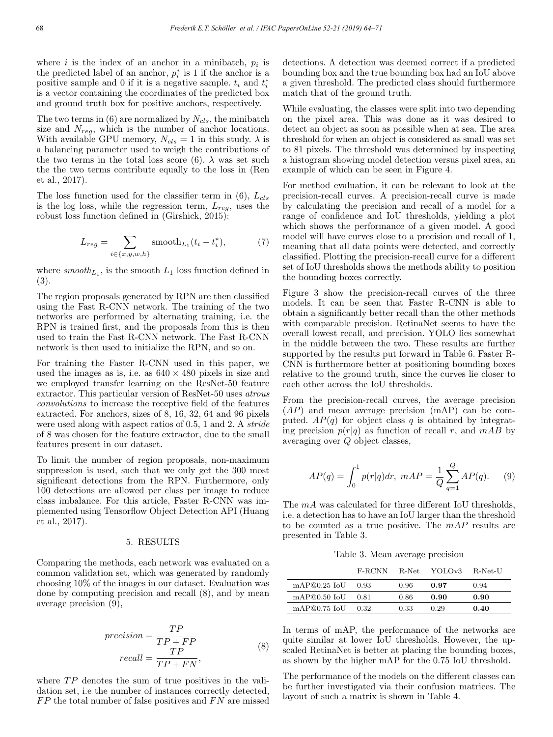where i is the index of an anchor in a minibatch,  $p_i$  is the predicted label of an anchor,  $p_i^*$  is 1 if the anchor is a positive sample and 0 if it is a negative sample.  $t_i$  and  $t_i^*$ is a vector containing the coordinates of the predicted box and ground truth box for positive anchors, respectively.

The two terms in  $(6)$  are normalized by  $N_{cls}$ , the minibatch size and  $N_{reg}$ , which is the number of anchor locations. With available GPU memory,  $N_{cls} = 1$  in this study.  $\lambda$  is a balancing parameter used to weigh the contributions of the two terms in the total loss score (6).  $\lambda$  was set such the the two terms contribute equally to the loss in (Ren et al., 2017).

The loss function used for the classifier term in  $(6)$ ,  $L_{cls}$ is the log loss, while the regression term,  $L_{req}$ , uses the robust loss function defined in (Girshick, 2015):

$$
L_{reg} = \sum_{i \in \{x, y, w, h\}} \text{smooth}_{L_1}(t_i - t_i^*), \tag{7}
$$

where  $smooth_{L_1}$ , is the smooth  $L_1$  loss function defined in (3).

The region proposals generated by RPN are then classified using the Fast R-CNN network. The training of the two networks are performed by alternating training, i.e. the RPN is trained first, and the proposals from this is then used to train the Fast R-CNN network. The Fast R-CNN network is then used to initialize the RPN, and so on.

For training the Faster R-CNN used in this paper, we used the images as is, i.e. as  $640 \times 480$  pixels in size and we employed transfer learning on the ResNet-50 feature extractor. This particular version of ResNet-50 uses atrous convolutions to increase the receptive field of the features extracted. For anchors, sizes of 8, 16, 32, 64 and 96 pixels were used along with aspect ratios of 0.5, 1 and 2. A *stride* of 8 was chosen for the feature extractor, due to the small features present in our dataset.

To limit the number of region proposals, non-maximum suppression is used, such that we only get the 300 most significant detections from the RPN. Furthermore, only 100 detections are allowed per class per image to reduce class imbalance. For this article, Faster R-CNN was implemented using Tensorflow Object Detection API (Huang et al., 2017).

#### 5. RESULTS

Comparing the methods, each network was evaluated on a common validation set, which was generated by randomly choosing 10% of the images in our dataset. Evaluation was done by computing precision and recall (8), and by mean average precision (9),

$$
precision = \frac{TP}{TP + FP}
$$

$$
recall = \frac{TP}{TP + FN},
$$

$$
(8)
$$

where  $TP$  denotes the sum of true positives in the validation set, i.e the number of instances correctly detected,  $FP$  the total number of false positives and  $FN$  are missed detections. A detection was deemed correct if a predicted bounding box and the true bounding box had an IoU above a given threshold. The predicted class should furthermore match that of the ground truth.

While evaluating, the classes were split into two depending on the pixel area. This was done as it was desired to detect an object as soon as possible when at sea. The area threshold for when an object is considered as small was set to 81 pixels. The threshold was determined by inspecting a histogram showing model detection versus pixel area, an example of which can be seen in Figure 4.

For method evaluation, it can be relevant to look at the precision-recall curves. A precision-recall curve is made by calculating the precision and recall of a model for a range of confidence and IoU thresholds, yielding a plot which shows the performance of a given model. A good model will have curves close to a precision and recall of 1, meaning that all data points were detected, and correctly classified. Plotting the precision-recall curve for a different set of IoU thresholds shows the methods ability to position the bounding boxes correctly.

Figure 3 show the precision-recall curves of the three models. It can be seen that Faster R-CNN is able to obtain a significantly better recall than the other methods with comparable precision. RetinaNet seems to have the overall lowest recall, and precision. YOLO lies somewhat in the middle between the two. These results are further supported by the results put forward in Table 6. Faster R-CNN is furthermore better at positioning bounding boxes relative to the ground truth, since the curves lie closer to each other across the IoU thresholds.

From the precision-recall curves, the average precision (AP) and mean average precision (mAP) can be computed.  $AP(q)$  for object class q is obtained by integrating precision  $p(r|q)$  as function of recall r, and mAB by averaging over Q object classes,

$$
AP(q) = \int_0^1 p(r|q)dr, \; mAP = \frac{1}{Q} \sum_{q=1}^Q AP(q). \tag{9}
$$

The mA was calculated for three different IoU thresholds, i.e. a detection has to have an IoU larger than the threshold to be counted as a true positive. The  $mAP$  results are presented in Table 3.

Table 3. Mean average precision

|                | F-RCNN |      | R-Net YOLOv3 | - R-Net-U |
|----------------|--------|------|--------------|-----------|
| $mAP@0.25$ IoU | 0.93   | 0.96 | 0.97         | 0.94      |
| mAP@0.50 IoU   | -0.81  | 0.86 | 0.90         | 0.90      |
| $mAP@0.75$ IoU | -0.32  | 0.33 | 0.29         | 0.40      |

In terms of mAP, the performance of the networks are quite similar at lower IoU thresholds. However, the upscaled RetinaNet is better at placing the bounding boxes, as shown by the higher mAP for the 0.75 IoU threshold.

The performance of the models on the different classes can be further investigated via their confusion matrices. The layout of such a matrix is shown in Table 4.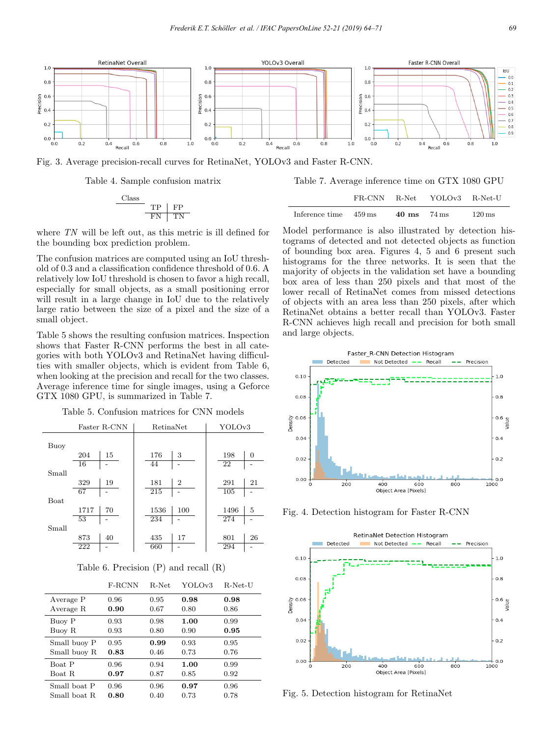

Fig. 3. Average precision-recall curves for RetinaNet, YOLOv3 and Faster R-CNN.

Table 4. Sample confusion matrix

$$
\frac{\text{SS}}{\text{TP} + \text{FP}}
$$

Table 7. Average inference time on GTX 1080 GPU

| Class. |     |
|--------|-----|
|        | нP. |
|        |     |

where TN will be left out, as this metric is ill defined for the bounding box prediction problem.

The confusion matrices are computed using an IoU threshold of 0.3 and a classification confidence threshold of 0.6. A relatively low IoU threshold is chosen to favor a high recall, especially for small objects, as a small positioning error will result in a large change in IoU due to the relatively large ratio between the size of a pixel and the size of a small object.

Table 5 shows the resulting confusion matrices. Inspection shows that Faster R-CNN performs the best in all categories with both YOLOv3 and RetinaNet having difficulties with smaller objects, which is evident from Table 6, when looking at the precision and recall for the two classes. Average inference time for single images, using a Geforce GTX 1080 GPU, is summarized in Table 7.

Table 5. Confusion matrices for CNN models

|       | Faster R-CNN |    | RetinaNet |      | YOLOv3         |  |      |                |
|-------|--------------|----|-----------|------|----------------|--|------|----------------|
| Buoy  |              |    |           |      |                |  |      |                |
|       | 204          | 15 |           | 176  | 3              |  | 198  | $\overline{0}$ |
|       | 16           |    |           | 44   |                |  | 22   |                |
| Small |              |    |           |      |                |  |      |                |
|       | 329          | 19 |           | 181  | $\overline{2}$ |  | 291  | 21             |
|       | 67           |    |           | 215  |                |  | 105  |                |
| Boat  |              |    |           |      |                |  |      |                |
|       | 1717         | 70 |           | 1536 | 100            |  | 1496 | 5              |
|       | 53           |    |           | 234  |                |  | 274  |                |
| Small |              |    |           |      |                |  |      |                |
|       | 873          | 40 |           | 435  | 17             |  | 801  | 26             |
|       | 222          |    |           | 660  |                |  | 294  |                |

Table 6. Precision (P) and recall (R)

|              | F-RCNN | $R-Net$ | YOLOv3 | $R-Net-U$ |
|--------------|--------|---------|--------|-----------|
| Average P    | 0.96   | 0.95    | 0.98   | 0.98      |
| Average R    | 0.90   | 0.67    | 0.80   | 0.86      |
| Buoy P       | 0.93   | 0.98    | 1.00   | 0.99      |
| Buoy R       | 0.93   | 0.80    | 0.90   | 0.95      |
| Small buoy P | 0.95   | 0.99    | 0.93   | 0.95      |
| Small buoy R | 0.83   | 0.46    | 0.73   | 0.76      |
| Boat P       | 0.96   | 0.94    | 1.00   | 0.99      |
| Boat R       | 0.97   | 0.87    | 0.85   | 0.92      |
| Small boat P | 0.96   | 0.96    | 0.97   | 0.96      |
| Small boat R | 0.80   | 0.40    | 0.73   | 0.78      |

|                       |                 | FR-CNN R-Net YOLOv3 R-Net-U |                     |  |
|-----------------------|-----------------|-----------------------------|---------------------|--|
| Inference time 459 ms | $40 \text{ ms}$ | $74 \,\mathrm{ms}$          | $120 \,\mathrm{ms}$ |  |
| .                     |                 |                             |                     |  |

Model performance is also illustrated by detection histograms of detected and not detected objects as function of bounding box area. Figures 4, 5 and 6 present such histograms for the three networks. It is seen that the majority of objects in the validation set have a bounding box area of less than 250 pixels and that most of the lower recall of RetinaNet comes from missed detections of objects with an area less than 250 pixels, after which RetinaNet obtains a better recall than YOLOv3. Faster R-CNN achieves high recall and precision for both small and large objects.



Fig. 4. Detection histogram for Faster R-CNN



Fig. 5. Detection histogram for RetinaNet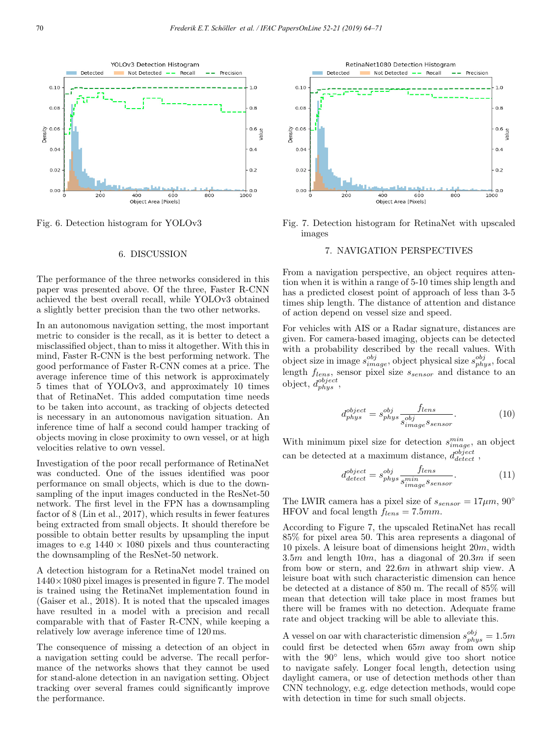

Fig. 6. Detection histogram for YOLOv3

#### 6. DISCUSSION

The performance of the three networks considered in this paper was presented above. Of the three, Faster R-CNN achieved the best overall recall, while YOLOv3 obtained a slightly better precision than the two other networks.

In an autonomous navigation setting, the most important metric to consider is the recall, as it is better to detect a misclassified object, than to miss it altogether. With this in mind, Faster R-CNN is the best performing network. The good performance of Faster R-CNN comes at a price. The average inference time of this network is approximately 5 times that of YOLOv3, and approximately 10 times that of RetinaNet. This added computation time needs to be taken into account, as tracking of objects detected is necessary in an autonomous navigation situation. An inference time of half a second could hamper tracking of objects moving in close proximity to own vessel, or at high velocities relative to own vessel.

Investigation of the poor recall performance of RetinaNet was conducted. One of the issues identified was poor performance on small objects, which is due to the downsampling of the input images conducted in the ResNet-50 network. The first level in the FPN has a downsampling factor of 8 (Lin et al., 2017), which results in fewer features being extracted from small objects. It should therefore be possible to obtain better results by upsampling the input images to e.g  $1440 \times 1080$  pixels and thus counteracting the downsampling of the ResNet-50 network.

A detection histogram for a RetinaNet model trained on  $1440\times1080$  pixel images is presented in figure 7. The model is trained using the RetinaNet implementation found in (Gaiser et al., 2018). It is noted that the upscaled images have resulted in a model with a precision and recall comparable with that of Faster R-CNN, while keeping a relatively low average inference time of 120 ms.

The consequence of missing a detection of an object in a navigation setting could be adverse. The recall performance of the networks shows that they cannot be used for stand-alone detection in an navigation setting. Object tracking over several frames could significantly improve the performance.



Fig. 7. Detection histogram for RetinaNet with upscaled images

#### 7. NAVIGATION PERSPECTIVES

From a navigation perspective, an object requires attention when it is within a range of 5-10 times ship length and has a predicted closest point of approach of less than 3-5 times ship length. The distance of attention and distance of action depend on vessel size and speed.

For vehicles with AIS or a Radar signature, distances are given. For camera-based imaging, objects can be detected with a probability described by the recall values. With object size in image  $s_{image}^{obj}$ , object physical size  $s_{phys}^{obj}$ , focal length  $f_{lens}$ , sensor pixel size  $s_{sensor}$  and distance to an object,  $d_{phys}^{object}$ ,

$$
d_{phys}^{object} = s_{phys}^{obj} \frac{f_{lens}}{s_{image}^{obj}}.
$$
 (10)

With minimum pixel size for detection  $s_{image}^{min}$ , an object can be detected at a maximum distance,  $d_{detect}^{object}$ ,

$$
d_{detect}^{object} = s_{phys}^{obj} \frac{f_{lens}}{s_{image}^{min} s_{sensor}}.
$$
\n(11)

The LWIR camera has a pixel size of  $s_{sensor} = 17 \mu m$ , 90° HFOV and focal length  $f_{lens} = 7.5mm$ .

According to Figure 7, the upscaled RetinaNet has recall 85% for pixel area 50. This area represents a diagonal of 10 pixels. A leisure boat of dimensions height 20m, width  $3.5m$  and length  $10m$ , has a diagonal of  $20.3m$  if seen from bow or stern, and 22.6m in athwart ship view. A leisure boat with such characteristic dimension can hence be detected at a distance of 850 m. The recall of 85% will mean that detection will take place in most frames but there will be frames with no detection. Adequate frame rate and object tracking will be able to alleviate this.

A vessel on oar with characteristic dimension  $s_{phys}^{obj} = 1.5m$ could first be detected when  $65m$  away from own ship with the  $90°$  lens, which would give too short notice to navigate safely. Longer focal length, detection using daylight camera, or use of detection methods other than CNN technology, e.g. edge detection methods, would cope with detection in time for such small objects.